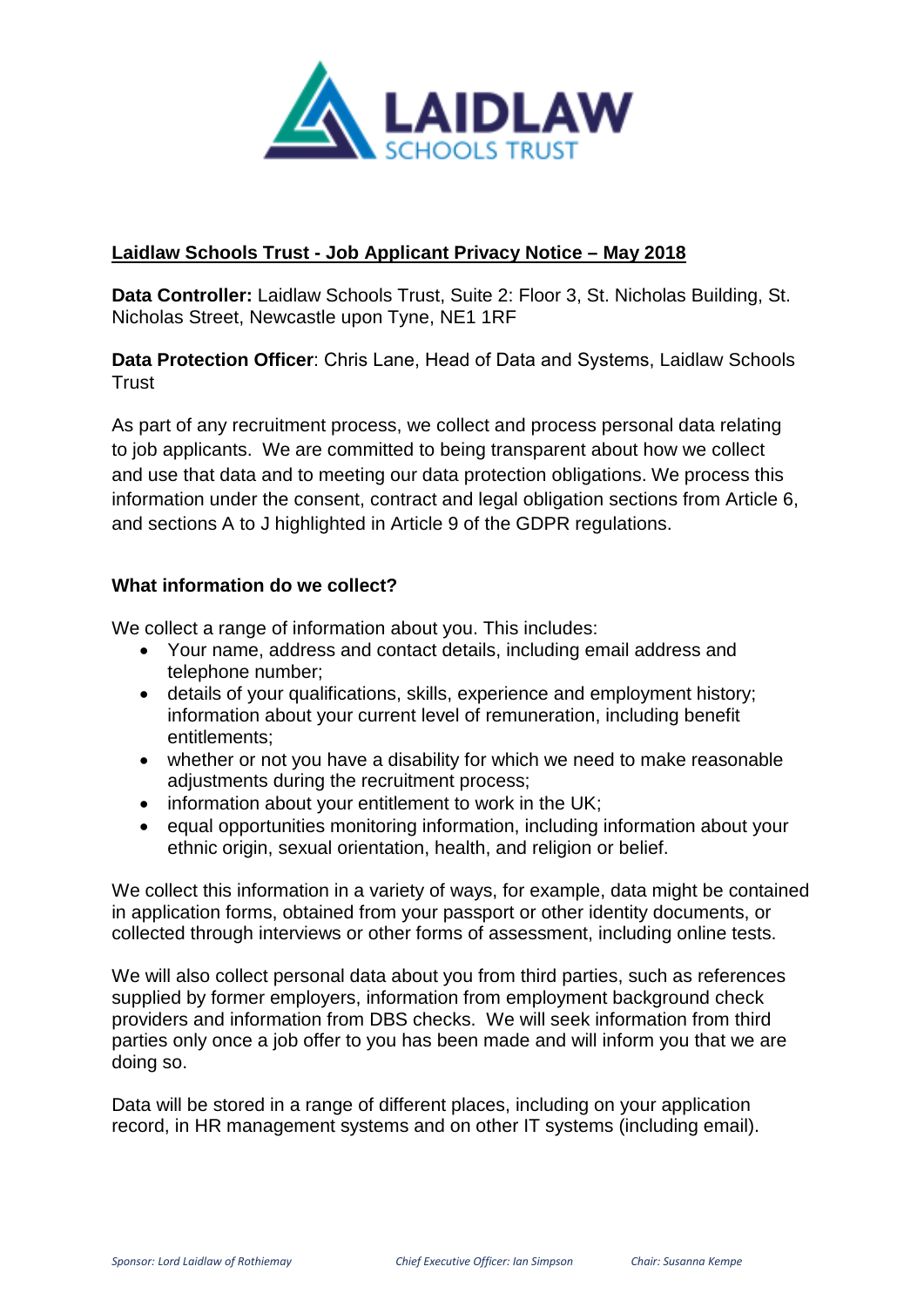

# **Laidlaw Schools Trust - Job Applicant Privacy Notice – May 2018**

**Data Controller:** Laidlaw Schools Trust, Suite 2: Floor 3, St. Nicholas Building, St. Nicholas Street, Newcastle upon Tyne, NE1 1RF

**Data Protection Officer**: Chris Lane, Head of Data and Systems, Laidlaw Schools **Trust** 

As part of any recruitment process, we collect and process personal data relating to job applicants. We are committed to being transparent about how we collect and use that data and to meeting our data protection obligations. We process this information under the consent, contract and legal obligation sections from Article 6, and sections A to J highlighted in Article 9 of the GDPR regulations.

## **What information do we collect?**

We collect a range of information about you. This includes:

- Your name, address and contact details, including email address and telephone number;
- details of your qualifications, skills, experience and employment history; information about your current level of remuneration, including benefit entitlements;
- whether or not you have a disability for which we need to make reasonable adjustments during the recruitment process;
- information about your entitlement to work in the UK;
- equal opportunities monitoring information, including information about your ethnic origin, sexual orientation, health, and religion or belief.

We collect this information in a variety of ways, for example, data might be contained in application forms, obtained from your passport or other identity documents, or collected through interviews or other forms of assessment, including online tests.

We will also collect personal data about you from third parties, such as references supplied by former employers, information from employment background check providers and information from DBS checks. We will seek information from third parties only once a job offer to you has been made and will inform you that we are doing so.

Data will be stored in a range of different places, including on your application record, in HR management systems and on other IT systems (including email).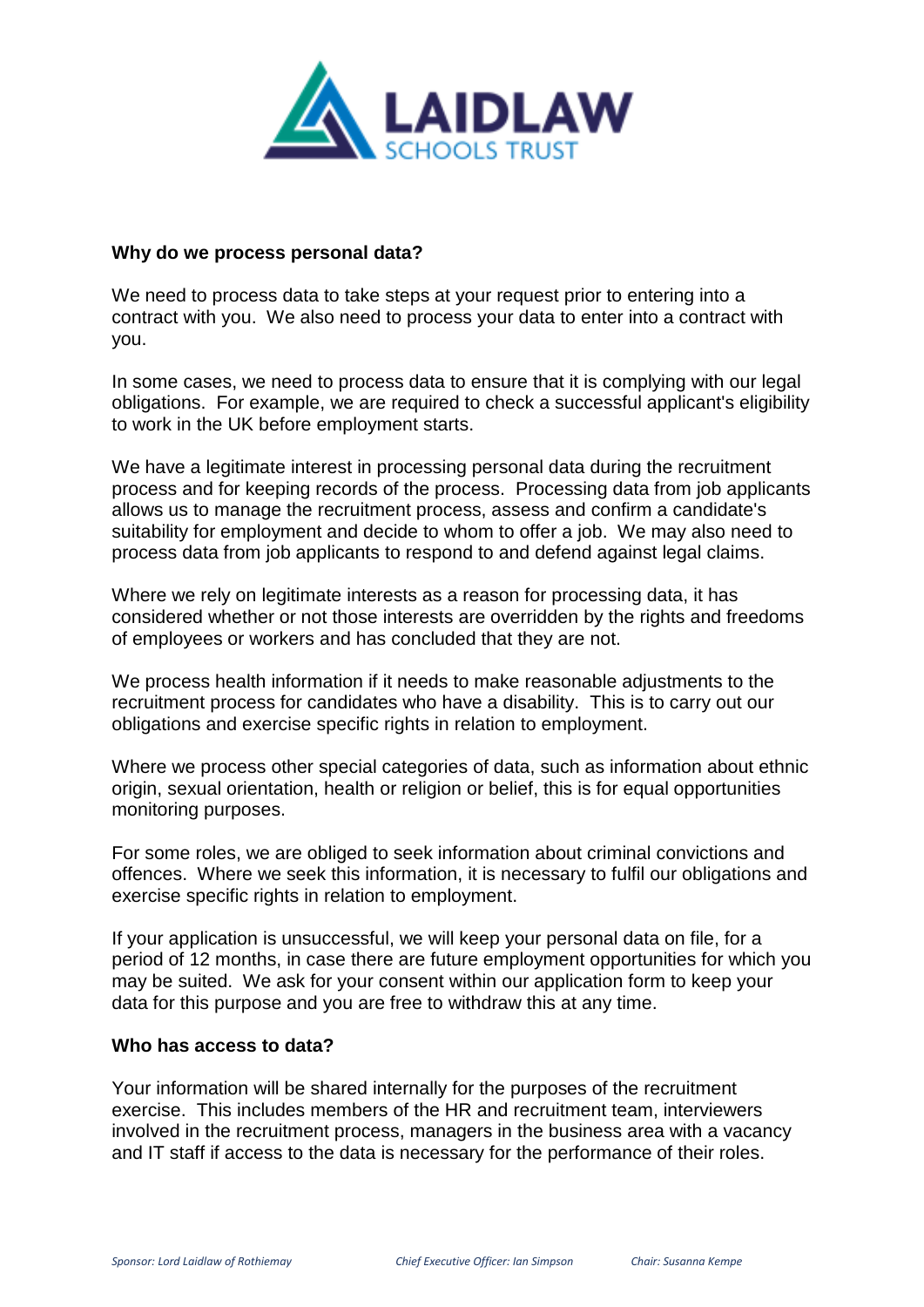

#### **Why do we process personal data?**

We need to process data to take steps at your request prior to entering into a contract with you. We also need to process your data to enter into a contract with you.

In some cases, we need to process data to ensure that it is complying with our legal obligations. For example, we are required to check a successful applicant's eligibility to work in the UK before employment starts.

We have a legitimate interest in processing personal data during the recruitment process and for keeping records of the process. Processing data from job applicants allows us to manage the recruitment process, assess and confirm a candidate's suitability for employment and decide to whom to offer a job. We may also need to process data from job applicants to respond to and defend against legal claims.

Where we rely on legitimate interests as a reason for processing data, it has considered whether or not those interests are overridden by the rights and freedoms of employees or workers and has concluded that they are not.

We process health information if it needs to make reasonable adjustments to the recruitment process for candidates who have a disability. This is to carry out our obligations and exercise specific rights in relation to employment.

Where we process other special categories of data, such as information about ethnic origin, sexual orientation, health or religion or belief, this is for equal opportunities monitoring purposes.

For some roles, we are obliged to seek information about criminal convictions and offences. Where we seek this information, it is necessary to fulfil our obligations and exercise specific rights in relation to employment.

If your application is unsuccessful, we will keep your personal data on file, for a period of 12 months, in case there are future employment opportunities for which you may be suited. We ask for your consent within our application form to keep your data for this purpose and you are free to withdraw this at any time.

#### **Who has access to data?**

Your information will be shared internally for the purposes of the recruitment exercise. This includes members of the HR and recruitment team, interviewers involved in the recruitment process, managers in the business area with a vacancy and IT staff if access to the data is necessary for the performance of their roles.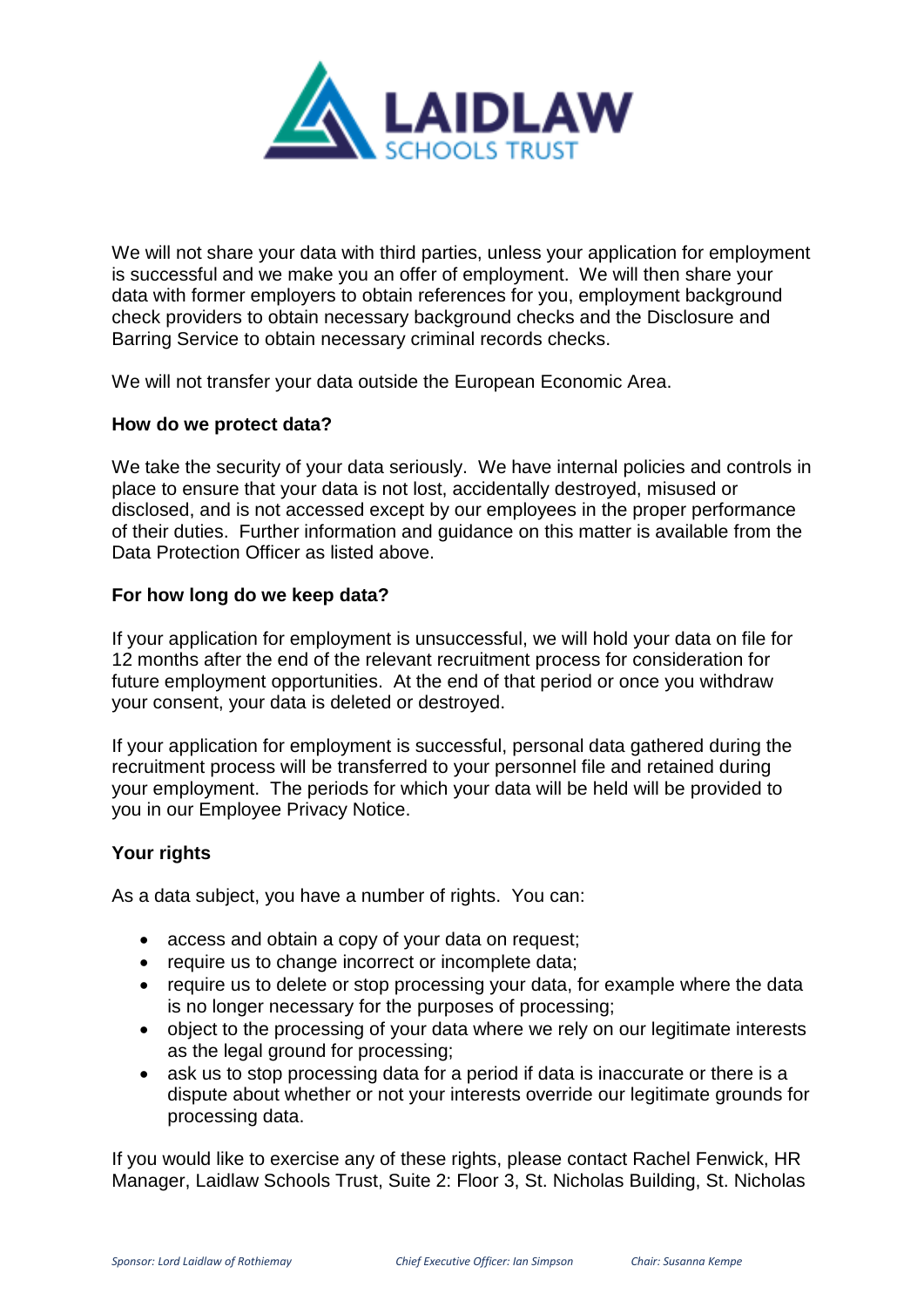

We will not share your data with third parties, unless your application for employment is successful and we make you an offer of employment. We will then share your data with former employers to obtain references for you, employment background check providers to obtain necessary background checks and the Disclosure and Barring Service to obtain necessary criminal records checks.

We will not transfer your data outside the European Economic Area.

## **How do we protect data?**

We take the security of your data seriously. We have internal policies and controls in place to ensure that your data is not lost, accidentally destroyed, misused or disclosed, and is not accessed except by our employees in the proper performance of their duties. Further information and guidance on this matter is available from the Data Protection Officer as listed above.

## **For how long do we keep data?**

If your application for employment is unsuccessful, we will hold your data on file for 12 months after the end of the relevant recruitment process for consideration for future employment opportunities. At the end of that period or once you withdraw your consent, your data is deleted or destroyed.

If your application for employment is successful, personal data gathered during the recruitment process will be transferred to your personnel file and retained during your employment. The periods for which your data will be held will be provided to you in our Employee Privacy Notice.

## **Your rights**

As a data subject, you have a number of rights. You can:

- access and obtain a copy of your data on request;
- require us to change incorrect or incomplete data;
- require us to delete or stop processing your data, for example where the data is no longer necessary for the purposes of processing;
- object to the processing of your data where we rely on our legitimate interests as the legal ground for processing;
- ask us to stop processing data for a period if data is inaccurate or there is a dispute about whether or not your interests override our legitimate grounds for processing data.

If you would like to exercise any of these rights, please contact Rachel Fenwick, HR Manager, Laidlaw Schools Trust, Suite 2: Floor 3, St. Nicholas Building, St. Nicholas